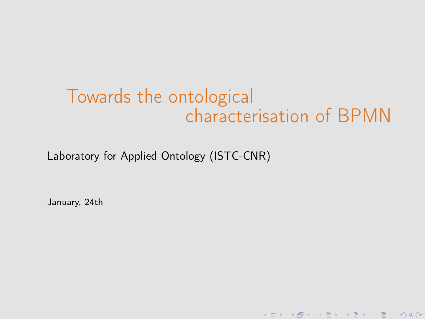# Towards the ontological characterisation of BPMN

K ロ ▶ | K @ ▶ | K 로 ▶ | K 로 ▶ | 그런

 $2Q$ 

Laboratory for Applied Ontology (ISTC-CNR)

January, 24th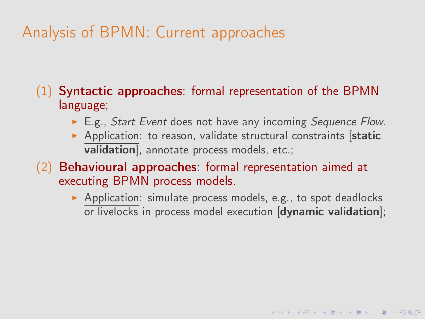# Analysis of BPMN: Current approaches

#### (1) Syntactic approaches: formal representation of the BPMN language;

- $\blacktriangleright$  E.g., Start Event does not have any incoming Sequence Flow.
- **Application: to reason, validate structural constraints [static** validation], annotate process models, etc.;

(2) Behavioural approaches: formal representation aimed at executing BPMN process models.

> $\triangleright$  Application: simulate process models, e.g., to spot deadlocks or livelocks in process model execution [dynamic validation];

> > **KORKAR KERKER E VOQO**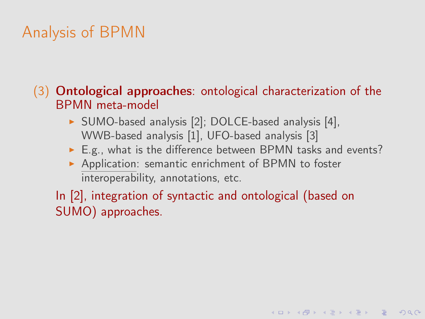# Analysis of BPMN

#### (3) Ontological approaches: ontological characterization of the BPMN meta-model

- $\triangleright$  SUMO-based analysis [\[2\]](#page-9-0); DOLCE-based analysis [\[4\]](#page-9-1), WWB-based analysis [\[1\]](#page-10-0), UFO-based analysis [\[3\]](#page-9-2)
- $\triangleright$  E.g., what is the difference between BPMN tasks and events?

**KOD KAD KED KED E VAN** 

 $\triangleright$  Application: semantic enrichment of BPMN to foster interoperability, annotations, etc.

In [\[2\]](#page-9-0), integration of syntactic and ontological (based on SUMO) approaches.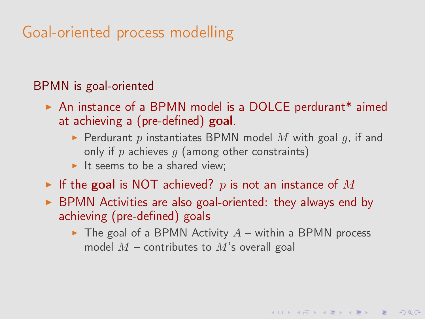# Goal-oriented process modelling

#### BPMN is goal-oriented

- $\triangleright$  An instance of a BPMN model is a DOLCE perdurant\* aimed at achieving a (pre-defined) goal.
	- Perdurant p instantiates BPMN model M with goal q, if and only if  $p$  achieves  $q$  (among other constraints)
	- It seems to be a shared view;
- If the goal is NOT achieved? p is not an instance of  $M$
- $\triangleright$  BPMN Activities are also goal-oriented: they always end by achieving (pre-defined) goals
	- $\triangleright$  The goal of a BPMN Activity  $A$  within a BPMN process model  $M$  – contributes to  $M$ 's overall goal

**KORKARY KERKER E VOOR**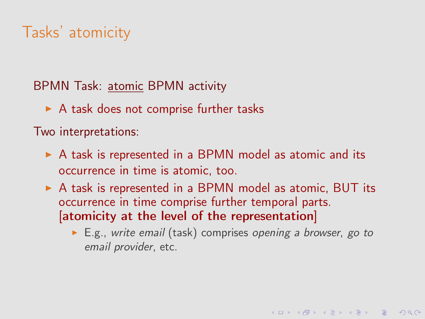# Tasks' atomicity

BPMN Task: atomic BPMN activity

 $\triangleright$  A task does not comprise further tasks

Two interpretations:

- $\triangleright$  A task is represented in a BPMN model as atomic and its occurrence in time is atomic, too.
- $\triangleright$  A task is represented in a BPMN model as atomic, BUT its occurrence in time comprise further temporal parts. [atomicity at the level of the representation]
	- $\blacktriangleright$  E.g., write email (task) comprises opening a browser, go to email provider, etc.

**KORKARY KERKER E VOOR**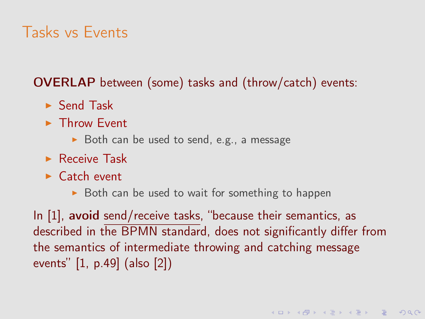### Tasks vs Events

OVERLAP between (some) tasks and (throw/catch) events:

- $\blacktriangleright$  Send Task
- $\blacktriangleright$  Throw Event
	- $\triangleright$  Both can be used to send, e.g., a message
- $\blacktriangleright$  Receive Task
- $\triangleright$  Catch event
	- $\triangleright$  Both can be used to wait for something to happen

In [\[1\]](#page-9-3), avoid send/receive tasks, "because their semantics, as described in the BPMN standard, does not significantly differ from the semantics of intermediate throwing and catching message events" [\[1,](#page-9-3) p.49] (also [\[2\]](#page-10-1))

**KOD KARD KED KED E VOOR**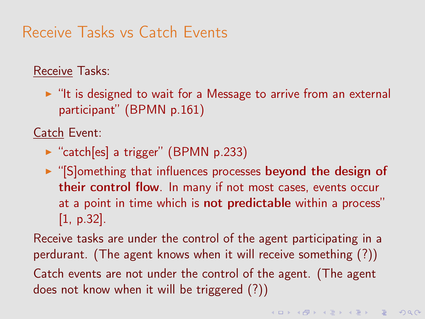### Receive Tasks vs Catch Events

#### Receive Tasks:

 $\triangleright$  "It is designed to wait for a Message to arrive from an external participant" (BPMN p.161)

Catch Event:

- $\triangleright$  "catch[es] a trigger" (BPMN p.233)
- $\blacktriangleright$  "[S]omething that influences processes beyond the design of their control flow. In many if not most cases, events occur at a point in time which is not predictable within a process" [\[1,](#page-9-3) p.32].

Receive tasks are under the control of the agent participating in a perdurant. (The agent knows when it will receive something (?)) Catch events are not under the control of the agent. (The agent does not know when it will be triggered (?))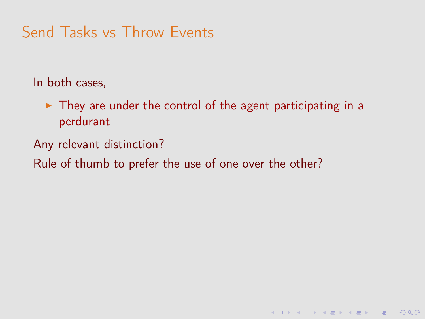# Send Tasks vs Throw Events

In both cases,

 $\triangleright$  They are under the control of the agent participating in a perdurant

**KORKARY KERKER E VOOR** 

Any relevant distinction?

Rule of thumb to prefer the use of one over the other?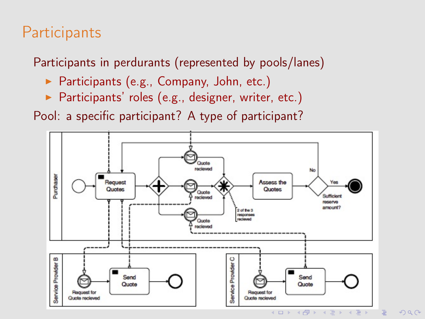# **Participants**

Participants in perdurants (represented by pools/lanes)

- $\blacktriangleright$  Participants (e.g., Company, John, etc.)
- $\blacktriangleright$  Participants' roles (e.g., designer, writer, etc.)

Pool: a specific participant? A type of participant?



 $2Q$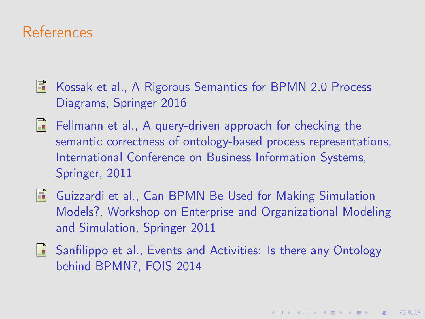### References

- <span id="page-9-3"></span>F Kossak et al., A Rigorous Semantics for BPMN 2.0 Process Diagrams, Springer 2016
- <span id="page-9-0"></span> $\Box$  Fellmann et al., A query-driven approach for checking the semantic correctness of ontology-based process representations, International Conference on Business Information Systems, Springer, 2011
- <span id="page-9-2"></span>Guizzardi et al., Can BPMN Be Used for Making Simulation Models?, Workshop on Enterprise and Organizational Modeling and Simulation, Springer 2011
- <span id="page-9-1"></span>**Sanfilippo et al., Events and Activities: Is there any Ontology** behind BPMN?, FOIS 2014